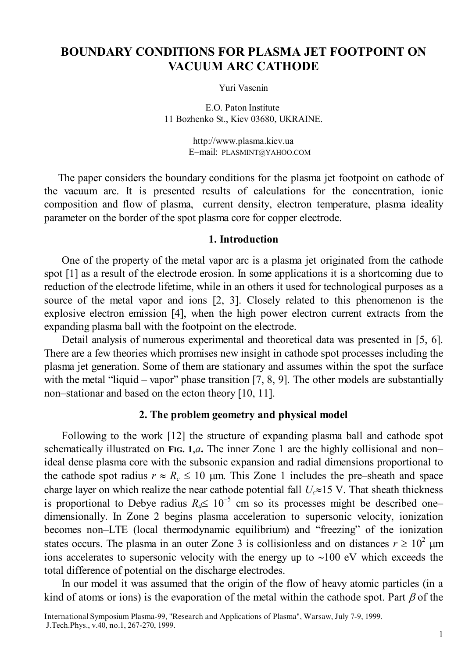# **BOUNDARY CONDITIONS FOR PLASMA JET FOOTPOINT ON VACUUM ARC CATHODE**

Yuri Vasenin

11 Bozhenko St., Kiev 03680, UKRAINE. E.O. Paton Institute

> http://www.plasma.kiev.ua E–mail: PLASMINT@YAHOO.COM

The paper considers the boundary conditions for the plasma jet footpoint on cathode of the vacuum arc. It is presented results of calculations for the concentration, ionic composition and flow of plasma, current density, electron temperature, plasma ideality parameter on the border of the spot plasma core for copper electrode.

### **1. Introduction**

One of the property of the metal vapor arc is a plasma jet originated from the cathode spot [1] as a result of the electrode erosion. In some applications it is a shortcoming due to reduction of the electrode lifetime, while in an others it used for technological purposes as a source of the metal vapor and ions [2, 3]. Closely related to this phenomenon is the explosive electron emission [4], when the high power electron current extracts from the expanding plasma ball with the footpoint on the electrode.

Detail analysis of numerous experimental and theoretical data was presented in [5, 6]. There are a few theories which promises new insight in cathode spot processes including the plasma jet generation. Some of them are stationary and assumes within the spot the surface with the metal "liquid – vapor" phase transition  $[7, 8, 9]$ . The other models are substantially non–stationar and based on the ecton theory [10, 11].

## **2. The problem geometry and physical model**

Following to the work [12] the structure of expanding plasma ball and cathode spot schematically illustrated on FIG. 1,*a*. The inner Zone 1 are the highly collisional and non– ideal dense plasma core with the subsonic expansion and radial dimensions proportional to the cathode spot radius  $r \approx R_c \le 10$  µm. This Zone 1 includes the pre–sheath and space charge layer on which realize the near cathode potential fall *Uc*≈15 V. That sheath thickness is proportional to Debye radius  $R_d \leq 10^{-5}$  cm so its processes might be described one– dimensionally. In Zone 2 begins plasma acceleration to supersonic velocity, ionization becomes non–LTE (local thermodynamic equilibrium) and "freezing" of the ionization states occurs. The plasma in an outer Zone 3 is collisionless and on distances  $r \geq 10^2$  µm ions accelerates to supersonic velocity with the energy up to ∼100 eV which exceeds the total difference of potential on the discharge electrodes.

In our model it was assumed that the origin of the flow of heavy atomic particles (in a kind of atoms or ions) is the evaporation of the metal within the cathode spot. Part  $\beta$  of the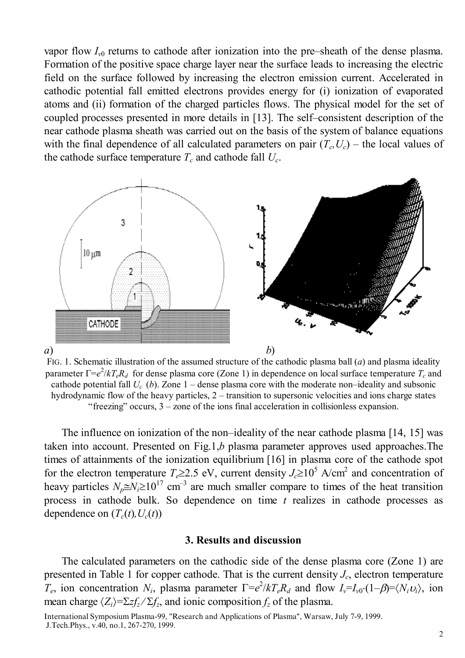vapor flow *Iv*0 returns to cathode after ionization into the pre–sheath of the dense plasma. Formation of the positive space charge layer near the surface leads to increasing the electric field on the surface followed by increasing the electron emission current. Accelerated in cathodic potential fall emitted electrons provides energy for (i) ionization of evaporated atoms and (ii) formation of the charged particles flows. The physical model for the set of coupled processes presented in more details in [13]. The self–consistent description of the near cathode plasma sheath was carried out on the basis of the system of balance equations with the final dependence of all calculated parameters on pair  $(T_c, U_c)$  – the local values of the cathode surface temperature  $T_c$  and cathode fall  $U_c$ .



FIG. 1. Schematic illustration of the assumed structure of the cathodic plasma ball (*a*) and plasma ideality parameter Γ=*e* 2 /*kTeRd* for dense plasma core (Zone 1) in dependence on local surface temperature *Tc* and cathode potential fall  $U_c$  (*b*). Zone 1 – dense plasma core with the moderate non–ideality and subsonic hydrodynamic flow of the heavy particles, 2 – transition to supersonic velocities and ions charge states "freezing" occurs, 3 – zone of the ions final acceleration in collisionless expansion.

The influence on ionization of the non–ideality of the near cathode plasma [14, 15] was taken into account. Presented on Fig.1,*b* plasma parameter approves used approaches.The times of attainments of the ionization equilibrium [16] in plasma core of the cathode spot for the electron temperature  $T_e \geq 2.5$  eV, current density  $J_c \geq 10^5$  A/cm<sup>2</sup> and concentration of heavy particles  $N_p \approx N_i \ge 10^{17}$  cm<sup>-3</sup> are much smaller compare to times of the heat transition process in cathode bulk. So dependence on time *t* realizes in cathode processes as dependence on  $(T_c(t), U_c(t))$ 

### **3. Results and discussion**

The calculated parameters on the cathodic side of the dense plasma core (Zone 1) are presented in Table 1 for copper cathode. That is the current density  $J_c$ , electron temperature *T<sub>e</sub>*, ion concentration *N<sub>i</sub>*, plasma parameter  $\Gamma = e^2/kT_eR_d$  and flow  $I_v = I_{v0} \cdot (1-\beta) = \langle N_i v_i \rangle$ , ion mean charge  $\langle Z_i \rangle = \sum z f_z / \sum f_z$ , and ionic composition  $f_z$  of the plasma.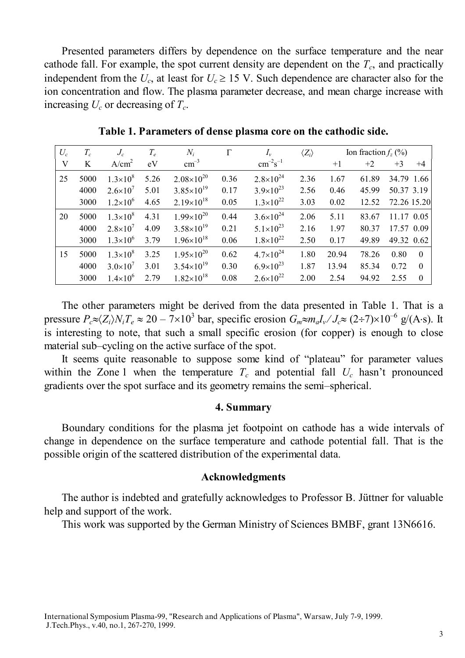Presented parameters differs by dependence on the surface temperature and the near cathode fall. For example, the spot current density are dependent on the  $T_c$ , and practically independent from the  $U_c$ , at least for  $U_c \ge 15$  V. Such dependence are character also for the ion concentration and flow. The plasma parameter decrease, and mean charge increase with increasing  $U_c$  or decreasing of  $T_c$ .

| $U_c$ | $T_c$ | $J_c$               | $T_e$ | $N_i$                 | $\Gamma$ | $I_{\nu}$            | $\langle Z_i \rangle$ | Ion fraction $f_z$ (%) |       |             |          |
|-------|-------|---------------------|-------|-----------------------|----------|----------------------|-----------------------|------------------------|-------|-------------|----------|
| V     | K     | A/cm <sup>2</sup>   | eV    | $\rm cm^{-3}$         |          | $cm^{-2}s^{-1}$      |                       | $+1$                   | $+2$  | $+3$        | $+4$     |
| 25    | 5000  | $1.3\times10^{8}$   | 5.26  | $2.08\times10^{20}$   | 0.36     | $2.8 \times 10^{24}$ | 2.36                  | 1.67                   | 61.89 | 34.79 1.66  |          |
|       | 4000  | $2.6 \times 10^{7}$ | 5.01  | $3.85 \times 10^{19}$ | 0.17     | $3.9\times10^{23}$   | 2.56                  | 0.46                   | 45.99 | 50.37 3.19  |          |
|       | 3000  | $1.2\times10^{6}$   | 4.65  | $2.19\times10^{18}$   | 0.05     | $1.3\times10^{22}$   | 3.03                  | 0.02                   | 12.52 | 72.26 15.20 |          |
| 20    | 5000  | $1.3\times10^{8}$   | 4.31  | $1.99\times10^{20}$   | 0.44     | $3.6\times10^{24}$   | 2.06                  | 5.11                   | 83.67 | 11.17 0.05  |          |
|       | 4000  | $2.8 \times 10^{7}$ | 4.09  | $3.58\times10^{19}$   | 0.21     | $5.1 \times 10^{23}$ | 2.16                  | 1.97                   | 80.37 | 17.57 0.09  |          |
|       | 3000  | $1.3\times10^{6}$   | 3.79  | $1.96\times10^{18}$   | 0.06     | $1.8\times10^{22}$   | 2.50                  | 0.17                   | 49.89 | 49.32 0.62  |          |
| 15    | 5000  | $1.3\times10^{8}$   | 3.25  | $1.95\times10^{20}$   | 0.62     | $4.7\times10^{24}$   | 1.80                  | 20.94                  | 78.26 | 0.80        | $\Omega$ |
|       | 4000  | $3.0\times10^{7}$   | 3.01  | $3.54\times10^{19}$   | 0.30     | $6.9\times10^{23}$   | 1.87                  | 13.94                  | 85.34 | 0.72        | $\theta$ |
|       | 3000  | $1.4 \times 10^{6}$ | 2.79  | $1.82\times10^{18}$   | 0.08     | $2.6 \times 10^{22}$ | 2.00                  | 2.54                   | 94.92 | 2.55        | $\theta$ |

**Table 1. Parameters of dense plasma core on the cathodic side.**

The other parameters might be derived from the data presented in Table 1. That is a pressure  $P_c \approx \langle Z_i \rangle N_i T_e \approx 20 - 7 \times 10^3$  bar, specific erosion  $G_m \approx m_a I_v / J_c \approx (2 \div 7) \times 10^{-6}$  g/(A⋅s). It is interesting to note, that such a small specific erosion (for copper) is enough to close material sub–cycling on the active surface of the spot.

It seems quite reasonable to suppose some kind of "plateau" for parameter values within the Zone 1 when the temperature  $T_c$  and potential fall  $U_c$  hasn't pronounced gradients over the spot surface and its geometry remains the semi–spherical.

#### **4. Summary**

Boundary conditions for the plasma jet footpoint on cathode has a wide intervals of change in dependence on the surface temperature and cathode potential fall. That is the possible origin of the scattered distribution of the experimental data.

### **Acknowledgments**

The author is indebted and gratefully acknowledges to Professor B. Jüttner for valuable help and support of the work.

This work was supported by the German Ministry of Sciences BMBF, grant 13N6616.